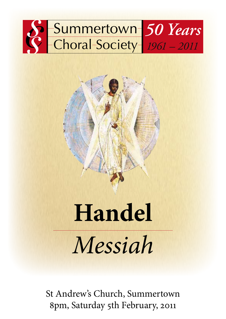

# **Handel** *Messiah*

St Andrew's Church, Summertown 8pm, Saturday 5th February, 2011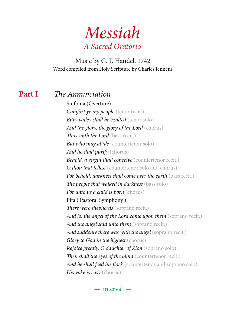*Messiah A Sacred Oratorio*

Music by G. F. Handel, 1742 Word compiled from Holy Scripture by Charles Jennens

#### **Part I** *The Annunciation*

Sinfonia (Overture) *Comfort ye my people* (tenor recit.) *Ev'ry valley shall be exalted* (tenor solo) *And the glory, the glory of the Lord* (chorus) *Thus saith the Lord* (bass recit.) *But who may abide* (countertenor solo) *And he shall purify* (chorus) *Behold, a virgin shall conceive* (countertenor recit.) *O thou that tellest* (countertenor solo and chorus) *For behold, darkness shall come over the earth* (bass recit.) *The people that walked in darkness* (bass solo) *For unto us a child is born* (chorus) Pifa ('Pastoral Symphony') *There were shepherds* (soprano recit.) *And lo, the angel of the Lord came upon them* (soprano recit.) *And the angel said unto them* (soprano recit.) *And suddenly there was with the angel* (soprano recit.) *Glory to God in the highest* (chorus) *Rejoice greatly, O daughter of Zion* (soprano solo) *Then shall the eyes of the blind* (countertenor recit.) *And he shall feed his flock* (countertenor and soprano solo) *His yoke is easy* (chorus)

— interval —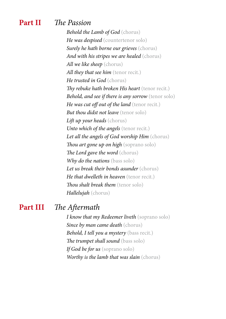#### **Part II** *The Passion*

*Behold the Lamb of God* (chorus) *He was despised* (countertenor solo) *Surely he hath borne our grieves* (chorus) *And with his stripes we are healed* (chorus) *All we like sheep* (chorus) *All they that see him* (tenor recit.) *He trusted in God* (chorus) *Thy rebuke hath broken His heart* (tenor recit.) *Behold, and see if there is any sorrow* (tenor solo) *He was cut off out of the land* (tenor recit.) *But thou didst not leave* (tenor solo) *Lift up your heads* (chorus) *Unto which of the angels* (tenor recit.) *Let all the angels of God worship Him* (chorus) *Thou art gone up on high* (soprano solo) *The Lord gave the word* (chorus) *Why do the nations* (bass solo) *Let us break their bonds asunder* (chorus) *He that dwelleth in heaven* (tenor recit.) *Thou shalt break them* (tenor solo) *Hallelujah* (chorus)

#### **Part III** *The Aftermath*

*I know that my Redeemer liveth* (soprano solo) *Since by man came death* (chorus) *Behold, I tell you a mystery* (bass recit.) *The trumpet shall sound* (bass solo) *If God be for us* (soprano solo) *Worthy is the lamb that was slain* (chorus)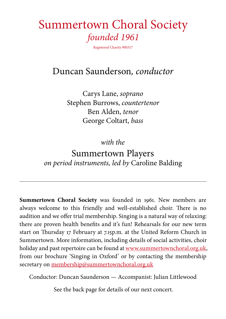## Summertown Choral Society *founded 1961*

Registered Charity 900317

### Duncan Saunderson*, conductor*

Carys Lane, *soprano* Stephen Burrows, *countertenor* Ben Alden, *tenor* George Coltart, *bass*

*with the*

### Summertown Players *on period instruments, led by* Caroline Balding

**Summertown Choral Society** was founded in 1961. New members are always welcome to this friendly and well-established choir. There is no audition and we offer trial membership. Singing is a natural way of relaxing: there are proven health benefits and it's fun! Rehearsals for our new term start on Thursday 17 February at 7.15p.m. at the United Reform Church in Summertown. More information, including details of social activities, choir holiday and past repertoire can be found at www.summertownchoral.org.uk, from our brochure 'Singing in Oxford' or by contacting the membership secretary on membership@summertownchoral.org.uk

Conductor: Duncan Saunderson — Accompanist: Julian Littlewood

See the back page for details of our next concert.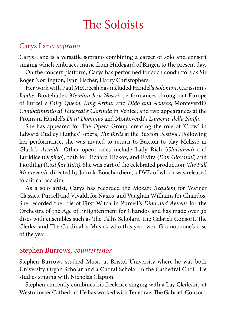# The Soloists

### Carys Lane*, soprano*

Carys Lane is a versatile soprano combining a career of solo and consort singing which embraces music from Hildegard of Bingen to the present day.

On the concert platform, Carys has performed for such conductors as Sir Roger Norrington, Ivan Fischer, Harry Christophers.

Her work with Paul McCreesh has included Handel's *Solomon*, Carissimi's *Jepthe*, Buxtehude's *Membra Jesu Nostri*, performances throughout Europe of Purcell's *Fairy Queen*, *King Arthur* and *Dido and Aeneas*, Monteverdi's *Combatimento di Tancredi e Clorinda* in Venice, and two appearances at the Proms in Handel's *Dixit Dominus* and Monteverdi's *Lamento della Ninfa*.

She has appeared for The Opera Group, creating the role of 'Crow' in Edward Dudley Hughes' opera, *The Birds* at the Buxton Festival. Following her performance, she was invited to return to Buxton to play Melisse in Gluck's *Armide*. Other opera roles include Lady Rich (*Glorianna*) and Euridice (*Orpheo*), both for Richard Hickox, and Elvira (*Don Giovanni*) and Fiordiligi (*Così fan Tutti)*. She was part of the celebrated production, *The Full Monteverdi*, directed by John la Bouchardiere, a DVD of which was released to critical acclaim.

As a solo artist, Carys has recorded the Mozart *Requiem* for Warner Classics, Purcell and Vivaldi for Naxos, and Vaughan Williams for Chandos. She recorded the role of First Witch in Purcell's *Dido and Aeneas* for the Orchestra of the Age of Enlightenment for Chandos and has made over 90 discs with ensembles such as The Tallis Scholars, The Gabrieli Consort, The Clerks and The Cardinall's Musick who this year won Gramophone's disc of the year.

#### Stephen Burrows*, countertenor*

Stephen Burrows studied Music at Bristol University where he was both University Organ Scholar and a Choral Scholar in the Cathedral Choir. He studies singing with Nicholas Clapton.

Stephen currently combines his freelance singing with a Lay Clerkship at Westminster Cathedral. He has worked with Tenebrae, The Gabrieli Consort,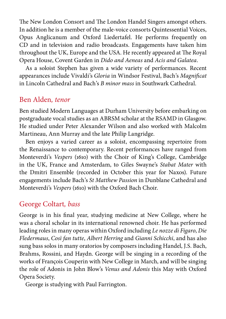The New London Consort and The London Handel Singers amongst others. In addition he is a member of the male-voice consorts Quintessential Voices, Opus Anglicanum and Oxford Liedertafel. He performs frequently on CD and in television and radio broadcasts. Engagements have taken him throughout the UK, Europe and the USA. He recently appeared at The Royal Opera House, Covent Garden in *Dido and Aeneas* and *Acis and Galatea*.

As a soloist Stephen has given a wide variety of performances. Recent appearances include Vivaldi's *Gloria* in Windsor Festival, Bach's *Magnificat* in Lincoln Cathedral and Bach's *B minor mass* in Southwark Cathedral.

### Ben Alden*, tenor*

Ben studied Modern Languages at Durham University before embarking on postgraduate vocal studies as an ABRSM scholar at the RSAMD in Glasgow. He studied under Peter Alexander Wilson and also worked with Malcolm Martineau, Ann Murray and the late Philip Langridge.

Ben enjoys a varied career as a soloist, encompassing repertoire from the Renaissance to contemporary. Recent performances have ranged from Monteverdi's *Vespers* (1610) with the Choir of King's College, Cambridge in the UK, France and Amsterdam, to Giles Swayne's *Stabat Mater* with the Dmitri Ensemble (recorded in October this year for Naxos). Future engagements include Bach's *St Matthew Passion* in Dunblane Cathedral and Monteverdi's *Vespers* (1610) with the Oxford Bach Choir.

#### George Coltart*, bass*

George is in his final year, studying medicine at New College, where he was a choral scholar in its international renowned choir. He has performed leading roles in many operas within Oxford including *Le nozze di Figaro*, *Die Fledermaus*, *Così fan tutte*, *Albert Herring* and *Gianni Schicchi*, and has also sung bass solos in many oratorios by composers including Handel, J.S. Bach, Brahms, Rossini, and Haydn. George will be singing in a recording of the works of François Couperin with New College in March, and will be singing the role of Adonis in John Blow's *Venus and Adonis* this May with Oxford Opera Society.

George is studying with Paul Farrington.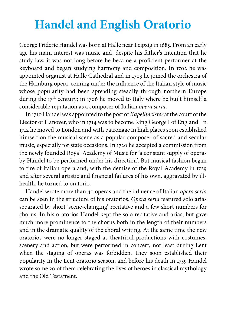# **Handel and English Oratorio**

George Frideric Handel was born at Halle near Leipzig in 1685. From an early age his main interest was music and, despite his father's intention that he study law, it was not long before he became a proficient performer at the keyboard and began studying harmony and composition. In 1702 he was appointed organist at Halle Cathedral and in 1703 he joined the orchestra of the Hamburg opera, coming under the influence of the Italian style of music whose popularity had been spreading steadily through northern Europe during the  $17<sup>th</sup>$  century; in 1706 he moved to Italy where he built himself a considerable reputation as a composer of Italian *opera seria*.

In 1710 Handel was appointed to the post of *Kapellmeister* at the court of the Elector of Hanover, who in 1714 was to become King George I of England. In 1712 he moved to London and with patronage in high places soon established himself on the musical scene as a popular composer of sacred and secular music, especially for state occasions. In 1720 he accepted a commission from the newly founded Royal Academy of Music for 'a constant supply of operas by Handel to be performed under his direction'. But musical fashion began to tire of Italian opera and, with the demise of the Royal Academy in 1729 and after several artistic and financial failures of his own, aggravated by illhealth, he turned to oratorio.

Handel wrote more than 40 operas and the influence of Italian *opera seria* can be seen in the structure of his oratorios. *Opera seria* featured solo arias separated by short 'scene-changing' recitative and a few short numbers for chorus. In his oratorios Handel kept the solo recitative and arias, but gave much more prominence to the chorus both in the length of their numbers and in the dramatic quality of the choral writing. At the same time the new oratorios were no longer staged as theatrical productions with costumes, scenery and action, but were performed in concert, not least during Lent when the staging of operas was forbidden. They soon established their popularity in the Lent oratorio season, and before his death in 1759 Handel wrote some 20 of them celebrating the lives of heroes in classical mythology and the Old Testament.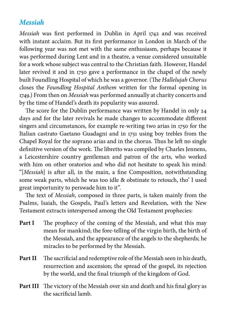#### *Messiah*

*Messiah* was first performed in Dublin in April 1742 and was received with instant acclaim. But its first performance in London in March of the following year was not met with the same enthusiasm, perhaps because it was performed during Lent and in a theatre, a venue considered unsuitable for a work whose subject was central to the Christian faith. However, Handel later revived it and in 1750 gave a performance in the chapel of the newly built Foundling Hospital of which he was a governor. (The *Hallelujah Chorus* closes the *Foundling Hospital Anthem* written for the formal opening in 1749.) From then on *Messiah* was performed annually at charity concerts and by the time of Handel's death its popularity was assured.

The score for the Dublin performance was written by Handel in only 24 days and for the later revivals he made changes to accommodate different singers and circumstances, for example re-writing two arias in 1750 for the Italian castrato Gaetano Guadagni and in 1751 using boy trebles from the Chapel Royal for the soprano arias and in the chorus. Thus he left no single definitive version of the work. The libretto was compiled by Charles Jennens, a Leicestershire country gentleman and patron of the arts, who worked with him on other oratorios and who did not hesitate to speak his mind: "[*Messiah*] is after all, in the main, a fine Composition, notwithstanding some weak parts, which he was too idle & obstinate to retouch, tho' I used great importunity to perswade him to it".

The text of *Messiah*, composed in three parts, is taken mainly from the Psalms, Isaiah, the Gospels, Paul's letters and Revelation, with the New Testament extracts interspersed among the Old Testament prophecies:

- **Part I** The prophecy of the coming of the Messiah, and what this may mean for mankind; the fore-telling of the virgin birth, the birth of the Messiah, and the appearance of the angels to the shepherds; he miracles to be performed by the Messiah.
- Part II The sacrificial and redemptive role of the Messiah seen in his death, resurrection and ascension; the spread of the gospel, its rejection by the world, and the final triumph of the kingdom of God.
- Part III The victory of the Messiah over sin and death and his final glory as the sacrificial lamb.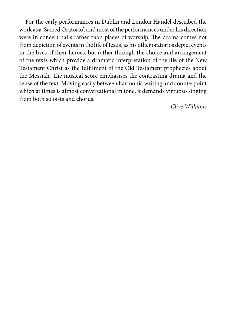For the early performances in Dublin and London Handel described the work as a 'Sacred Oratorio', and most of the performances under his direction were in concert halls rather than places of worship. The drama comes not from depiction of events in the life of Jesus, as his other oratorios depict events in the lives of their heroes, but rather through the choice and arrangement of the texts which provide a dramatic interpretation of the life of the New Testament Christ as the fulfilment of the Old Testament prophecies about the Messiah. The musical score emphasises the contrasting drama and the sense of the text. Moving easily between harmonic writing and counterpoint which at times is almost conversational in tone, it demands virtuoso singing from both soloists and chorus.

*Clive Williams*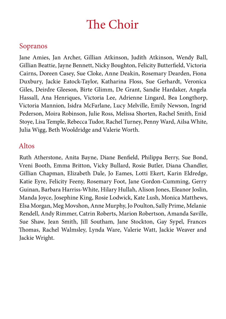# The Choir

### Sopranos

Jane Amies, Jan Archer, Gillian Atkinson, Judith Atkinson, Wendy Ball, Gillian Beattie, Jayne Bennett, Nicky Boughton, Felicity Butterfield, Victoria Cairns, Doreen Casey, Sue Cloke, Anne Deakin, Rosemary Dearden, Fiona Duxbury, Jackie Eatock-Taylor, Katharina Floss, Sue Gerhardt, Veronica Giles, Deirdre Gleeson, Birte Glimm, De Grant, Sandie Hardaker, Angela Hassall, Ana Henriques, Victoria Lee, Adrienne Lingard, Bea Longthorp, Victoria Mannion, Isidra McFarlane, Lucy Melville, Emily Newson, Ingrid Pederson, Moira Robinson, Julie Ross, Melissa Shorten, Rachel Smith, Enid Stoye, Lisa Temple, Rebecca Tudor, Rachel Turney, Penny Ward, Ailsa White, Julia Wigg, Beth Wooldridge and Valerie Worth.

#### Altos

Ruth Atherstone, Anita Bayne, Diane Benfield, Philippa Berry, Sue Bond, Vreni Booth, Emma Britton, Vicky Bullard, Rosie Butler, Diana Chandler, Gillian Chapman, Elizabeth Dale, Jo Eames, Lotti Ekert, Karin Eldredge, Katie Eyre, Felicity Feeny, Rosemary Foot, Jane Gordon-Cumming, Gerry Guinan, Barbara Harriss-White, Hilary Hullah, Alison Jones, Eleanor Joslin, Manda Joyce, Josephine King, Rosie Lodwick, Kate Lush, Monica Matthews, Elsa Morgan, Meg Movshon, Anne Murphy, Jo Poulton, Sally Prime, Melanie Rendell, Andy Rimmer, Catrin Roberts, Marion Robertson, Amanda Saville, Sue Shaw, Jean Smith, Jill Southam, Jane Stockton, Gay Sypel, Frances Thomas, Rachel Walmsley, Lynda Ware, Valerie Watt, Jackie Weaver and Jackie Wright.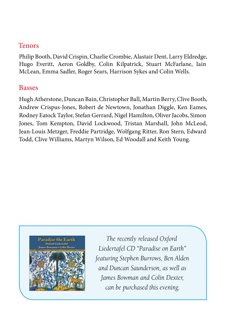### Tenors

Philip Booth, David Crispin, Charlie Crombie, Alastair Dent, Larry Eldredge, Hugo Everitt, Aeron Goldby, Colin Kilpatrick, Stuart McFarlane, Iain McLean, Emma Sadler, Roger Sears, Harrison Sykes and Colin Wells.

#### Basses

Hugh Atherstone, Duncan Bain, Christopher Ball, Martin Berry, Clive Booth, Andrew Crispus-Jones, Robert de Newtown, Jonathan Diggle, Ken Eames, Rodney Eatock Taylor, Stefan Gerrard, Nigel Hamilton, Oliver Jacobs, Simon Jones, Tom Kempton, David Lockwood, Tristan Marshall, John McLeod, Jean-Louis Metzger, Freddie Partridge, Wolfgang Ritter, Ron Stern, Edward Todd, Clive Williams, Martyn Wilson, Ed Woodall and Keith Young.



*The recently released Oxford Liedertafel CD "Paradise on Earth" featuring Stephen Burrows, Ben Alden and Duncan Saunderson, as well as James Bowman and Colin Dexter, can be purchased this evening.*